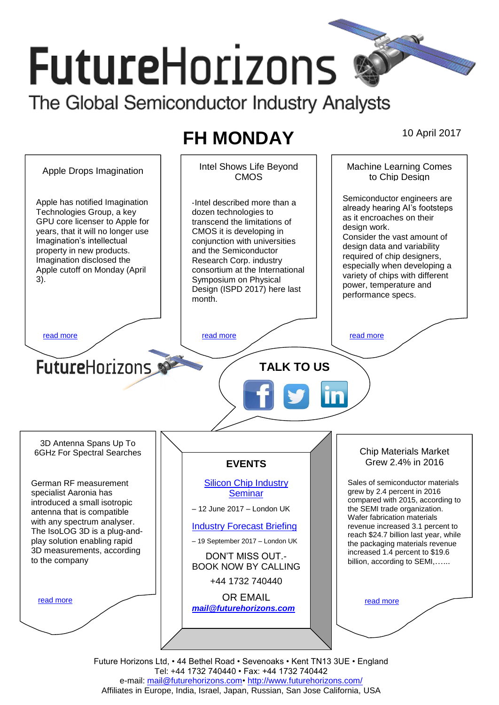# **FutureHorizons** The Global Semiconductor Industry Analysts

# **FH MONDAY** 10 April 2017

Apple Drops Imagination | | Intel Shows Life Beyond Machine Learning Comes to Chip Design CMOS Semiconductor engineers are Apple has notified Imagination ‐Intel described more than a already hearing AI's footsteps Technologies Group, a key dozen technologies to as it encroaches on their GPU core licenser to Apple for transcend the limitations of design work. years, that it will no longer use CMOS it is developing in Consider the vast amount of Imagination's intellectual conjunction with universities design data and variability property in new products. and the Semiconductor required of chip designers, Imagination disclosed the Research Corp. industry especially when developing a Apple cutoff on Monday (April consortium at the International variety of chips with different 3). Symposium on Physical power, temperature and Design (ISPD 2017) here last performance specs. month. [read more](#page-1-1) that the second contract the second contract of the read more that the read more that the read more **Future**Horizons **TALK TO US** 3D Antenna Spans Up To Chip Materials Market 6GHz For Spectral Searches Grew 2.4% in 2016 **EVENTS** German RF measurement [Silicon Chip Industry](http://www.futurehorizons.com/page/12/silicon-chip-training)  Sales of semiconductor materials grew by 2.4 percent in 2016 specialist Aaronia has **[Seminar](http://www.futurehorizons.com/page/12/silicon-chip-training)** introduced a small isotropic compared with 2015, according to – 12 June 2017 – London UK the SEMI trade organization. antenna that is compatible Wafer fabrication materials with any spectrum analyser. [Industry Forecast Briefing](http://www.futurehorizons.com/page/13/Semiconductor-Market-Forecast-Seminar) revenue increased 3.1 percent to The IsoLOG 3D is a plug-andreach \$24.7 billion last year, while play solution enabling rapid – 19 September 2017 – London UK the packaging materials revenue 3D measurements, according increased 1.4 percent to \$19.6 DON'T MISS OUT. to the companybillion, according to SEMI,...... BOOK NOW BY CALLING +44 1732 740440 OR EMAIL [read more](#page-1-3) [read more](#page-1-4) *[mail@futurehorizons.com](mailto:mail@futurehorizons.com)*

> Future Horizons Ltd, • 44 Bethel Road • Sevenoaks • Kent TN13 3UE • England Tel: +44 1732 740440 • Fax: +44 1732 740442 e-mail: mail@futurehorizons.com• http://www.futurehorizons.com/ Affiliates in Europe, India, Israel, Japan, Russian, San Jose California, USA